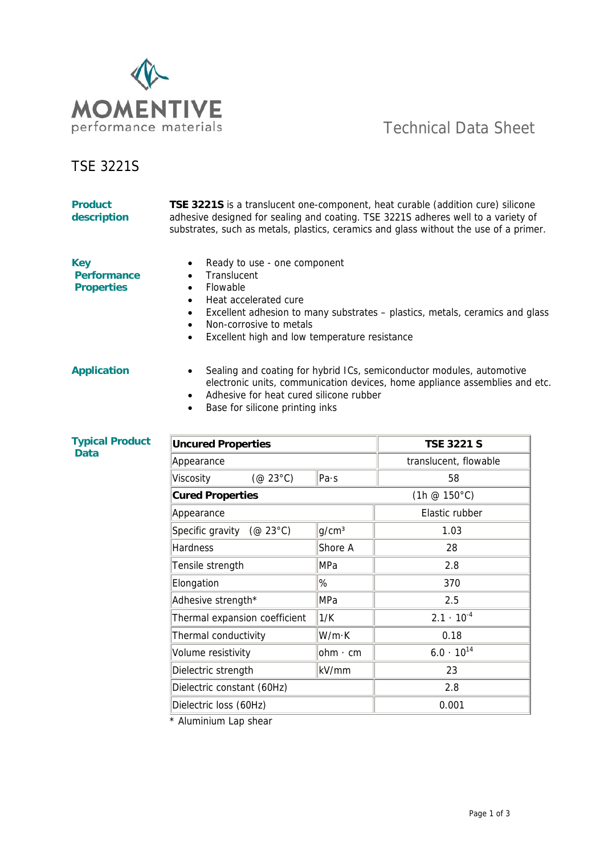

## TSE 3221S

| <b>Product</b><br>description                         | <b>TSE 3221S</b> is a translucent one-component, heat curable (addition cure) silicone<br>adhesive designed for sealing and coating. TSE 3221S adheres well to a variety of<br>substrates, such as metals, plastics, ceramics and glass without the use of a primer.      |                   |                         |  |  |  |
|-------------------------------------------------------|---------------------------------------------------------------------------------------------------------------------------------------------------------------------------------------------------------------------------------------------------------------------------|-------------------|-------------------------|--|--|--|
| <b>Key</b><br><b>Performance</b><br><b>Properties</b> | Ready to use - one component<br>Translucent<br>Flowable<br>Heat accelerated cure<br>Excellent adhesion to many substrates - plastics, metals, ceramics and glass<br>Non-corrosive to metals<br>Excellent high and low temperature resistance                              |                   |                         |  |  |  |
| <b>Application</b>                                    | Sealing and coating for hybrid ICs, semiconductor modules, automotive<br>$\bullet$<br>electronic units, communication devices, home appliance assemblies and etc.<br>Adhesive for heat cured silicone rubber<br>$\bullet$<br>Base for silicone printing inks<br>$\bullet$ |                   |                         |  |  |  |
| <b>Typical Product</b><br><b>Data</b>                 | <b>Uncured Properties</b>                                                                                                                                                                                                                                                 |                   | <b>TSE 3221 S</b>       |  |  |  |
|                                                       | Appearance                                                                                                                                                                                                                                                                |                   | translucent, flowable   |  |  |  |
|                                                       | $(\textcircled{a} 23^{\circ}C)$<br>Viscosity                                                                                                                                                                                                                              | Pa·s              | 58                      |  |  |  |
|                                                       | <b>Cured Properties</b>                                                                                                                                                                                                                                                   |                   | $(1h \ @ 150^{\circ}C)$ |  |  |  |
|                                                       | Appearance                                                                                                                                                                                                                                                                |                   | Elastic rubber          |  |  |  |
|                                                       | Specific gravity (@ 23°C)                                                                                                                                                                                                                                                 | g/cm <sup>3</sup> | 1.03                    |  |  |  |
|                                                       | Hardness                                                                                                                                                                                                                                                                  | Shore A           | 28                      |  |  |  |
|                                                       | Tensile strength                                                                                                                                                                                                                                                          | MPa               | 2.8                     |  |  |  |
|                                                       | %<br>Elongation                                                                                                                                                                                                                                                           |                   | 370                     |  |  |  |
|                                                       | Adhesive strength*                                                                                                                                                                                                                                                        | MPa<br>2.5        |                         |  |  |  |
|                                                       | Thermal expansion coefficient                                                                                                                                                                                                                                             | 1/K               | $2.1 \cdot 10^{-4}$     |  |  |  |
|                                                       | Thermal conductivity                                                                                                                                                                                                                                                      | W/m·K             | 0.18                    |  |  |  |
|                                                       | Volume resistivity                                                                                                                                                                                                                                                        | $ohm \cdot cm$    | $6.0 \cdot 10^{14}$     |  |  |  |
|                                                       | Dielectric strength                                                                                                                                                                                                                                                       | kV/mm             | 23                      |  |  |  |
|                                                       | Dielectric constant (60Hz)                                                                                                                                                                                                                                                |                   | 2.8                     |  |  |  |
|                                                       | Dielectric loss (60Hz)                                                                                                                                                                                                                                                    |                   | 0.001                   |  |  |  |
|                                                       | * Aluminium Lap shear                                                                                                                                                                                                                                                     |                   |                         |  |  |  |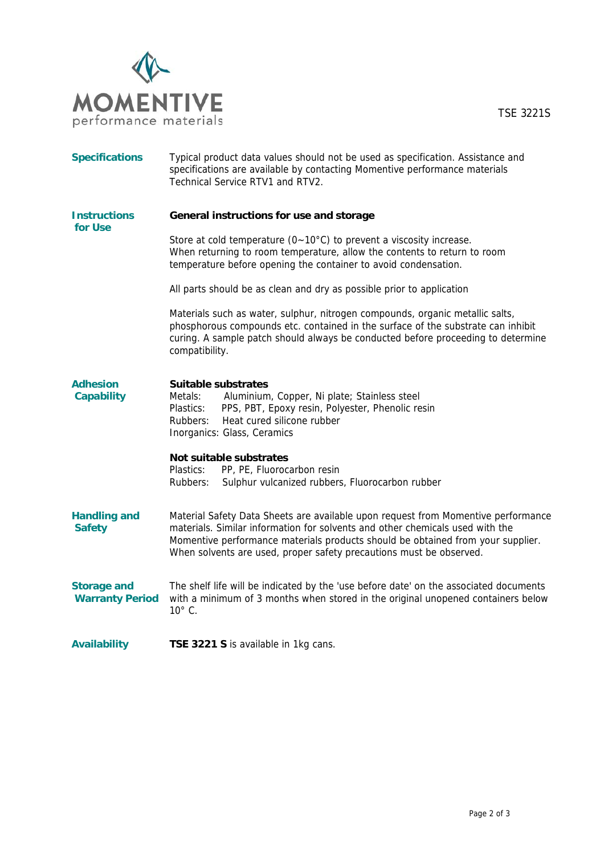

| <b>Specifications</b>                        | Typical product data values should not be used as specification. Assistance and<br>specifications are available by contacting Momentive performance materials<br>Technical Service RTV1 and RTV2.                                                                                                                            |  |  |
|----------------------------------------------|------------------------------------------------------------------------------------------------------------------------------------------------------------------------------------------------------------------------------------------------------------------------------------------------------------------------------|--|--|
| <b>Instructions</b><br>for Use               | General instructions for use and storage                                                                                                                                                                                                                                                                                     |  |  |
|                                              | Store at cold temperature ( $0 \sim 10^{\circ}$ C) to prevent a viscosity increase.<br>When returning to room temperature, allow the contents to return to room<br>temperature before opening the container to avoid condensation.                                                                                           |  |  |
|                                              | All parts should be as clean and dry as possible prior to application                                                                                                                                                                                                                                                        |  |  |
|                                              | Materials such as water, sulphur, nitrogen compounds, organic metallic salts,<br>phosphorous compounds etc. contained in the surface of the substrate can inhibit<br>curing. A sample patch should always be conducted before proceeding to determine<br>compatibility.                                                      |  |  |
| <b>Adhesion</b><br><b>Capability</b>         | Suitable substrates<br>Metals:<br>Aluminium, Copper, Ni plate; Stainless steel<br>Plastics:<br>PPS, PBT, Epoxy resin, Polyester, Phenolic resin<br>Heat cured silicone rubber<br>Rubbers:<br>Inorganics: Glass, Ceramics                                                                                                     |  |  |
|                                              | Not suitable substrates<br>Plastics:<br>PP, PE, Fluorocarbon resin<br>Sulphur vulcanized rubbers, Fluorocarbon rubber<br>Rubbers:                                                                                                                                                                                            |  |  |
| <b>Handling and</b><br><b>Safety</b>         | Material Safety Data Sheets are available upon request from Momentive performance<br>materials. Similar information for solvents and other chemicals used with the<br>Momentive performance materials products should be obtained from your supplier.<br>When solvents are used, proper safety precautions must be observed. |  |  |
| <b>Storage and</b><br><b>Warranty Period</b> | The shelf life will be indicated by the 'use before date' on the associated documents<br>with a minimum of 3 months when stored in the original unopened containers below<br>$10^{\circ}$ C.                                                                                                                                 |  |  |
| <b>Availability</b>                          | TSE 3221 S is available in 1kg cans.                                                                                                                                                                                                                                                                                         |  |  |